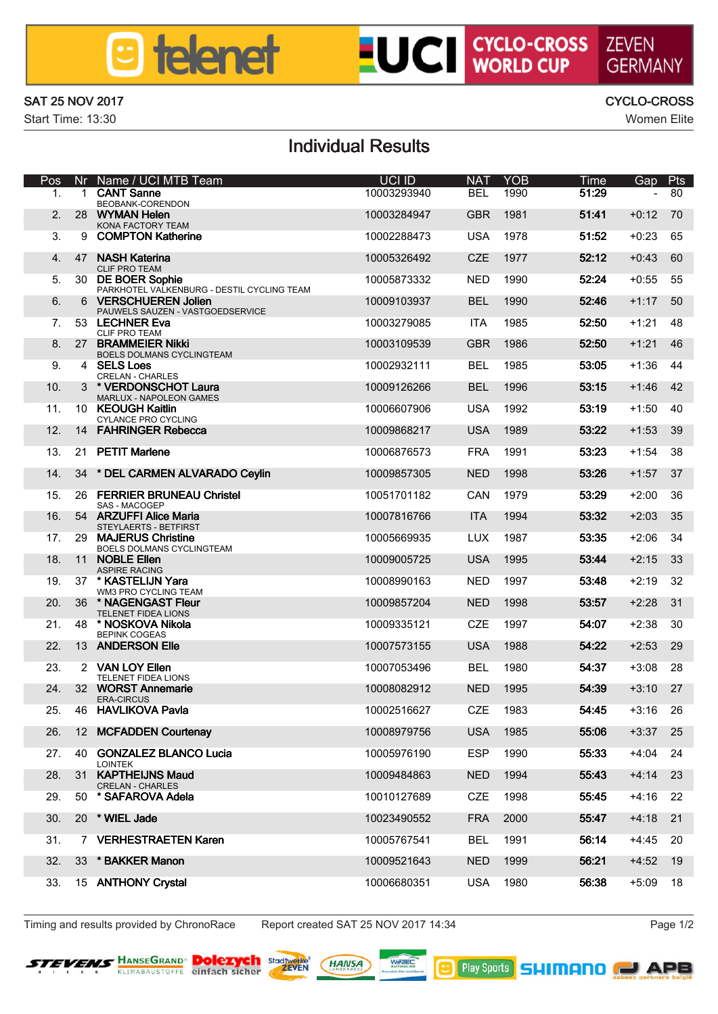## **a** telenet

# **LUCI CYCLO-CROSS ZEVEN**

#### SAT 25 NOV 2017 CYCLO-CROSS

Start Time: 13:30 Women Elite

## GERMANN

### Individual Results

| Pos             | Nr             | Name / UCI MTB Team                                                  | UCI ID      | <b>NAT</b> | YOR  | Time  | Gap     | Pts     |
|-----------------|----------------|----------------------------------------------------------------------|-------------|------------|------|-------|---------|---------|
| 1.              | ٠              | <b>CANT Sonne</b><br>BECGANK-CORENDON                                | 10003293940 | <b>RFI</b> | 1990 | 51.29 |         | 80      |
| $\overline{2}$  | 28             | <b>WVMAN Holen</b><br>KONA FACTORY TEAM                              | 10003284947 | GRR        | 1981 | 51:41 | $+0.12$ | 70      |
| $\mathbf{a}$    |                | 9 COMPTON Katherine                                                  | 10002288473 | 1184       | 1978 | 51.52 | $+0:23$ | 65      |
| $\Delta$        | 47             | <b>NASH Katerina</b><br><b>CLIF PRO TEAM</b>                         | 10005326492 | CZE        | 1977 | 5212  | $+0:43$ | 60      |
| к               |                | 30 DE BOER Soohie<br>PARKHOTEL VALKENBURG - DESTIL CYCLING TEAM      | 10005873332 | NFD        | 1990 | 5224  | $+0:55$ | 55      |
| $\mathbf{a}$    | $\mathbf{a}$   | <b>WERSCHLIFREN Jellen</b><br>PAUWELS SAUZEN - VASTGOEDSERVICE       | 10009103937 | <b>BEL</b> | 1990 | 52.46 | $+1:17$ | 50      |
| 7               |                | <b>53 LECHNER EVA</b><br><b>CLIF PRO TEAM</b>                        | 10003279085 | ITA.       | 1985 | 5250  | $+1:21$ | 48      |
| R               |                | 27 BRAMMEIER NIM<br>BOELS DOLMANS CYCLINGTEAM                        | 10003109539 | <b>GBR</b> | 1986 | 52.50 | $+1:21$ | 46      |
| ۰               |                | 4 SELSIONS<br><b>CREI AN - CHARLES</b>                               | 10002932111 | <b>RFI</b> | 1985 | 53.05 | $+1:36$ | 44      |
| 10 <sub>1</sub> |                | 3 VERDONSCHOT Laura                                                  | 10009126266 | <b>RFI</b> | 1006 | 53:15 | $+1:46$ | 42      |
| 11              |                | MARLLIX - NAPOLEON GAMES<br>10 KEOLIGH Kaltin<br>CYLANCE PRO CYCLING | 10006607906 | 1154       | 1992 | 53-19 | $+1:50$ | 40      |
| 12              |                | 14 FAHRINGER Rebecca                                                 | 10009868217 | 1184       | 1989 | 53.22 | $+1:53$ | 39      |
| 13              |                | 21 PETIT Mariene                                                     | 10006876573 | <b>FRA</b> | 1991 | 53-23 | $+1:54$ | 38      |
| 14              | 34             | * DEL CARMEN ALVARADO Cevin                                          | 10009857305 | <b>NFD</b> | 1998 | 53:26 | $+1:57$ | 37      |
| 15              | 26             | <b>FERRIER BRUNEAU Christel</b>                                      | 10051701182 | CAN        | 1979 | 53-29 | $+2.00$ | 36      |
| 16              | 54             | SAS - MACOGEP<br>ARZI IFFI Aline Maria                               | 10007816766 | ITA.       | 1994 | 53.32 | $+2.03$ | 35      |
| 17.             |                | STEYLAERTS - BETFIRST<br>29 MAJERUS Christine                        | 10005669935 | <b>LUX</b> | 1987 | 53:35 | $+2:06$ | 34      |
| 18              |                | BOELS DOLMANS CYCLINGTEAM<br>11 NOBLE Ellen                          | 10009005725 | <b>USA</b> | 1005 | 53:44 | $+2:15$ | 33      |
| 19              | 37             | ASPIRE RACING<br>* KASTELLIN Vara                                    | 10008990163 | NFD        | 1997 | 53:48 | $+2.19$ | 32      |
| 20 <sub>0</sub> | 38             | WAS PRO CYCLING TEAM<br>* NAGENGAST Flour                            | 10009857204 | <b>NFD</b> | 1998 | 5357  | $+2:28$ | 31      |
| 21.             | 48             | <b>TELENET FIDEA LIONS</b><br>** MOSKOVA Nikola                      | 10009335121 | CZE        | 1997 | 54:07 | $+2:38$ | 30      |
| 22              |                | BEPINK COGEAS<br>13 ANDERSON Elle                                    | 10007573155 | 1184       | 1988 | 54.22 | $+2.53$ | 29      |
| 23.             | $\overline{ }$ | VAN LOY Ellen                                                        | 10007053496 | <b>RFI</b> | 1980 | 54:37 | $+3.08$ | 28      |
| 24              |                | TO ENET ODEA LIONS<br>32 WORST Annemarie                             | 10008082912 | <b>NFD</b> | 1005 | 54:39 | $+3:10$ | 27      |
| 25.             | 46             | <b>ERA/TIBOLIS</b><br><b>HAVLIKOVA Pavia</b>                         | 10002516627 | CZE        | 1983 | 54:45 | $+3:16$ | 26      |
| 26.             |                | 12 MCFADDEN Courtenav                                                | 10008979756 | <b>USA</b> | 1985 | 55:06 | $+3:37$ | 25      |
| 27.             |                | 40 GONZALEZ BLANCO Lucia                                             | 10005976190 | ESP        | 1990 | 55:33 | $+4:04$ | $^{24}$ |
| 28              |                | <b>LOINTEK</b><br>31 KAPTHELINS Maud                                 | 10009484863 | <b>NFD</b> | 1004 | 55:43 | $+4.14$ | 23      |
| 29              | 5n             | CRELAN - CHARLES<br>* SAFAROVA Ando                                  | 10010127689 | CZE        | 1998 | 55:45 | $+4.16$ | 22      |
| 30 <sub>1</sub> |                | 20 WIFI Jade                                                         | 10023490552 | <b>FRA</b> | 2000 | 55:47 | $+4:18$ | 21      |
| 31.             | 7              | <b>VERHESTRAETEN Karen</b>                                           | 10005767541 | <b>RFI</b> | 1991 | 5914  | $+4:45$ | 20      |
| $32^{1}$        | 33             | * RAKICER Manno                                                      | 10009521643 | <b>NFD</b> | 1000 | 56-21 | $+4:52$ | 19      |
| 33.             |                | 15 ANTHONY Crystal                                                   | 10006680351 | <b>USA</b> | 1980 | 56:38 | $+5:09$ | 18      |
|                 |                |                                                                      |             |            |      |       |         |         |

Timing and results provided by ChronoRace Report created SAT 25 NOV 2017 14:34 Page 1/2



**Dolezych Departs (HANSA)**